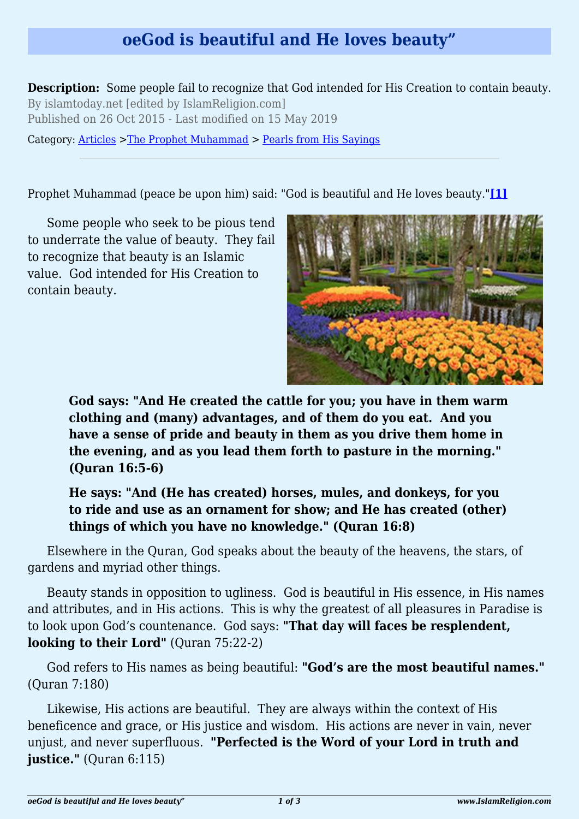## **oeGod is beautiful and He loves beauty"**

**Description:** Some people fail to recognize that God intended for His Creation to contain beauty. By islamtoday.net [edited by IslamReligion.com] Published on 26 Oct 2015 - Last modified on 15 May 2019

Category: [Articles](http://www.islamreligion.com/articles/) >[The Prophet Muhammad](http://www.islamreligion.com/category/79/) > [Pearls from His Sayings](http://www.islamreligion.com/category/80/)

<span id="page-0-0"></span>Prophet Muhammad (peace be upon him) said: "God is beautiful and He loves beauty."**[\[1\]](#page-2-0)**

Some people who seek to be pious tend to underrate the value of beauty. They fail to recognize that beauty is an Islamic value. God intended for His Creation to contain beauty.



**God says: "And He created the cattle for you; you have in them warm clothing and (many) advantages, and of them do you eat. And you have a sense of pride and beauty in them as you drive them home in the evening, and as you lead them forth to pasture in the morning." (Quran 16:5-6)**

**He says: "And (He has created) horses, mules, and donkeys, for you to ride and use as an ornament for show; and He has created (other) things of which you have no knowledge." (Quran 16:8)**

Elsewhere in the Quran, God speaks about the beauty of the heavens, the stars, of gardens and myriad other things.

Beauty stands in opposition to ugliness. God is beautiful in His essence, in His names and attributes, and in His actions. This is why the greatest of all pleasures in Paradise is to look upon God's countenance. God says: **"That day will faces be resplendent, looking to their Lord"** (Quran 75:22-2)

God refers to His names as being beautiful: **"God's are the most beautiful names."** (Quran 7:180)

Likewise, His actions are beautiful. They are always within the context of His beneficence and grace, or His justice and wisdom. His actions are never in vain, never unjust, and never superfluous. **"Perfected is the Word of your Lord in truth and justice.**" (Quran 6:115)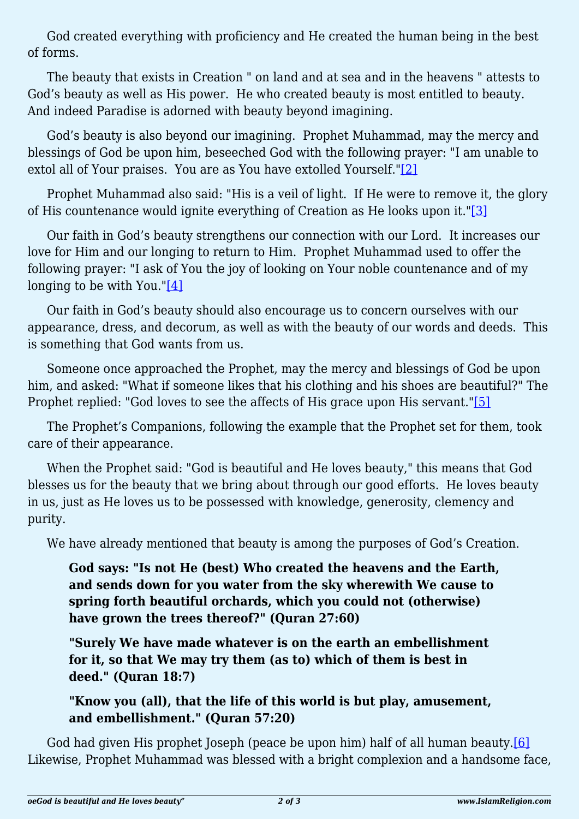God created everything with proficiency and He created the human being in the best of forms.

The beauty that exists in Creation " on land and at sea and in the heavens " attests to God's beauty as well as His power. He who created beauty is most entitled to beauty. And indeed Paradise is adorned with beauty beyond imagining.

God's beauty is also beyond our imagining. Prophet Muhammad, may the mercy and blessings of God be upon him, beseeched God with the following prayer: "I am unable to extol all of Your praises. You are as You have extolled Yourself.["\[2\]](#page-2-1)

<span id="page-1-1"></span><span id="page-1-0"></span>Prophet Muhammad also said: "His is a veil of light. If He were to remove it, the glory of His countenance would ignite everything of Creation as He looks upon it."[\[3\]](#page-2-2)

Our faith in God's beauty strengthens our connection with our Lord. It increases our love for Him and our longing to return to Him. Prophet Muhammad used to offer the following prayer: "I ask of You the joy of looking on Your noble countenance and of my longing to be with You." $[4]$ 

<span id="page-1-2"></span>Our faith in God's beauty should also encourage us to concern ourselves with our appearance, dress, and decorum, as well as with the beauty of our words and deeds. This is something that God wants from us.

Someone once approached the Prophet, may the mercy and blessings of God be upon him, and asked: "What if someone likes that his clothing and his shoes are beautiful?" The Prophet replied: "God loves to see the affects of His grace upon His servant.["\[5\]](#page-2-4)

<span id="page-1-3"></span>The Prophet's Companions, following the example that the Prophet set for them, took care of their appearance.

When the Prophet said: "God is beautiful and He loves beauty," this means that God blesses us for the beauty that we bring about through our good efforts. He loves beauty in us, just as He loves us to be possessed with knowledge, generosity, clemency and purity.

We have already mentioned that beauty is among the purposes of God's Creation.

**God says: "Is not He (best) Who created the heavens and the Earth, and sends down for you water from the sky wherewith We cause to spring forth beautiful orchards, which you could not (otherwise) have grown the trees thereof?" (Quran 27:60)**

**"Surely We have made whatever is on the earth an embellishment for it, so that We may try them (as to) which of them is best in deed." (Quran 18:7)**

**"Know you (all), that the life of this world is but play, amusement, and embellishment." (Quran 57:20)**

<span id="page-1-4"></span>God had given His prophet Joseph (peace be upon him) half of all human beauty.<sup>[6]</sup> Likewise, Prophet Muhammad was blessed with a bright complexion and a handsome face,